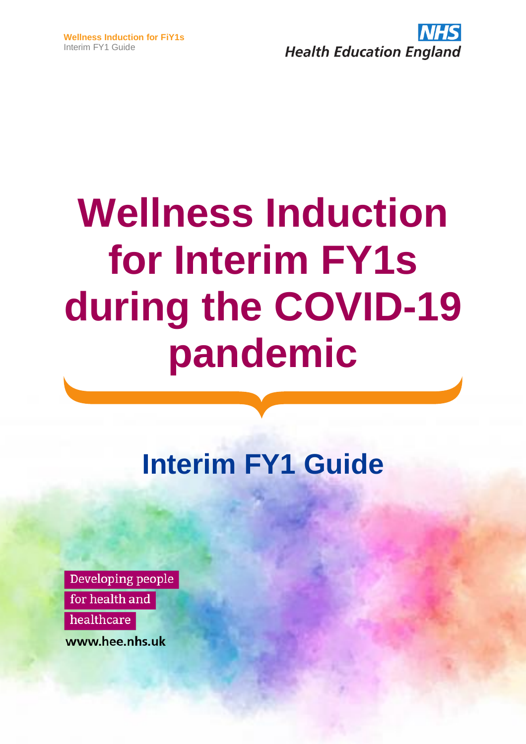

# **Wellness Induction for Interim FY1s during the COVID-19 pandemic**

## **Interim FY1 Guide**

Developing people for health and healthcare

www.hee.nhs.uk

**NHS COVID-19 Staff Mental Health Hotline #OurNHSPeople**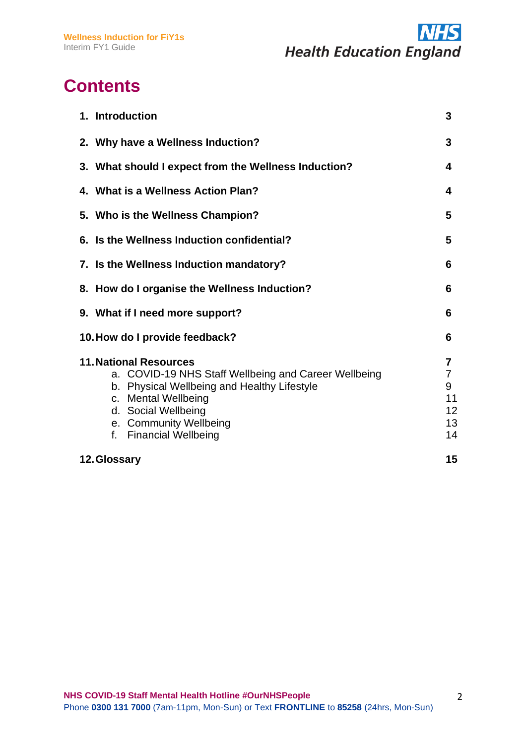

## **Contents**

| 1. Introduction                                                                                                                                                                                                                        | 3                                                             |
|----------------------------------------------------------------------------------------------------------------------------------------------------------------------------------------------------------------------------------------|---------------------------------------------------------------|
| 2. Why have a Wellness Induction?                                                                                                                                                                                                      | 3                                                             |
| 3. What should I expect from the Wellness Induction?                                                                                                                                                                                   | 4                                                             |
| 4. What is a Wellness Action Plan?                                                                                                                                                                                                     | 4                                                             |
| 5. Who is the Wellness Champion?                                                                                                                                                                                                       | 5                                                             |
| 6. Is the Wellness Induction confidential?                                                                                                                                                                                             | 5                                                             |
| 7. Is the Wellness Induction mandatory?                                                                                                                                                                                                | 6                                                             |
| 8. How do I organise the Wellness Induction?                                                                                                                                                                                           | 6                                                             |
| 9. What if I need more support?                                                                                                                                                                                                        | 6                                                             |
| 10. How do I provide feedback?                                                                                                                                                                                                         | 6                                                             |
| <b>11. National Resources</b><br>a. COVID-19 NHS Staff Wellbeing and Career Wellbeing<br>b. Physical Wellbeing and Healthy Lifestyle<br>c. Mental Wellbeing<br>d. Social Wellbeing<br>e. Community Wellbeing<br>f. Financial Wellbeing | $\overline{7}$<br>$\overline{7}$<br>9<br>11<br>12<br>13<br>14 |
| 12. Glossary                                                                                                                                                                                                                           | 15                                                            |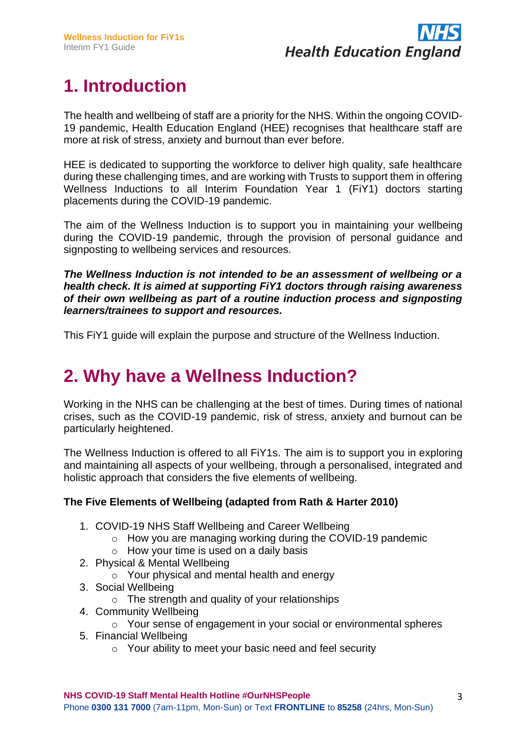

## **1. Introduction**

The health and wellbeing of staff are a priority for the NHS. Within the ongoing COVID-19 pandemic, Health Education England (HEE) recognises that healthcare staff are more at risk of stress, anxiety and burnout than ever before.

HEE is dedicated to supporting the workforce to deliver high quality, safe healthcare during these challenging times, and are working with Trusts to support them in offering Wellness Inductions to all Interim Foundation Year 1 (FiY1) doctors starting placements during the COVID-19 pandemic.

The aim of the Wellness Induction is to support you in maintaining your wellbeing during the COVID-19 pandemic, through the provision of personal guidance and signposting to wellbeing services and resources.

*The Wellness Induction is not intended to be an assessment of wellbeing or a health check. It is aimed at supporting FiY1 doctors through raising awareness of their own wellbeing as part of a routine induction process and signposting learners/trainees to support and resources.*

This FiY1 guide will explain the purpose and structure of the Wellness Induction.

### **2. Why have a Wellness Induction?**

Working in the NHS can be challenging at the best of times. During times of national crises, such as the COVID-19 pandemic, risk of stress, anxiety and burnout can be particularly heightened.

The Wellness Induction is offered to all FiY1s. The aim is to support you in exploring and maintaining all aspects of your wellbeing, through a personalised, integrated and holistic approach that considers the five elements of wellbeing.

#### **The Five Elements of Wellbeing (adapted from Rath & Harter 2010)**

- 1. COVID-19 NHS Staff Wellbeing and Career Wellbeing
	- o How you are managing working during the COVID-19 pandemic
	- o How your time is used on a daily basis
- 2. Physical & Mental Wellbeing
	- o Your physical and mental health and energy
- 3. Social Wellbeing
	- o The strength and quality of your relationships
- 4. Community Wellbeing
	- o Your sense of engagement in your social or environmental spheres
- 5. Financial Wellbeing
	- o Your ability to meet your basic need and feel security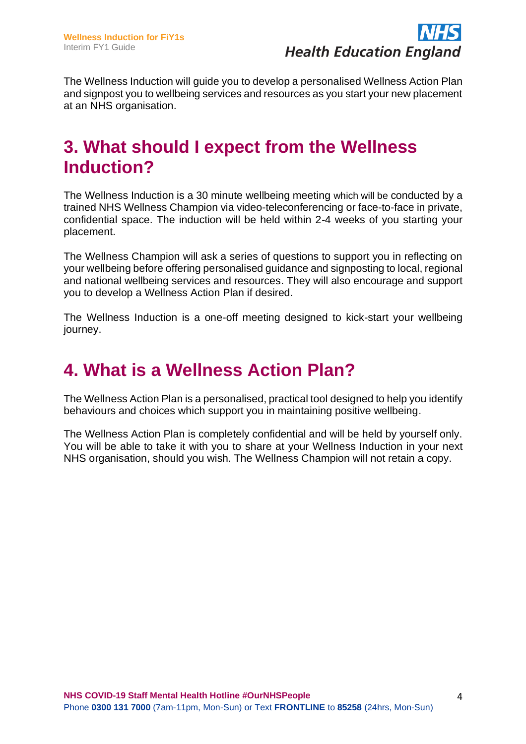

The Wellness Induction will guide you to develop a personalised Wellness Action Plan and signpost you to wellbeing services and resources as you start your new placement at an NHS organisation.

#### **3. What should I expect from the Wellness Induction?**

The Wellness Induction is a 30 minute wellbeing meeting which will be conducted by a trained NHS Wellness Champion via video-teleconferencing or face-to-face in private, confidential space. The induction will be held within 2-4 weeks of you starting your placement.

The Wellness Champion will ask a series of questions to support you in reflecting on your wellbeing before offering personalised guidance and signposting to local, regional and national wellbeing services and resources. They will also encourage and support you to develop a Wellness Action Plan if desired.

The Wellness Induction is a one-off meeting designed to kick-start your wellbeing journey.

### **4. What is a Wellness Action Plan?**

The Wellness Action Plan is a personalised, practical tool designed to help you identify behaviours and choices which support you in maintaining positive wellbeing.

The Wellness Action Plan is completely confidential and will be held by yourself only. You will be able to take it with you to share at your Wellness Induction in your next NHS organisation, should you wish. The Wellness Champion will not retain a copy.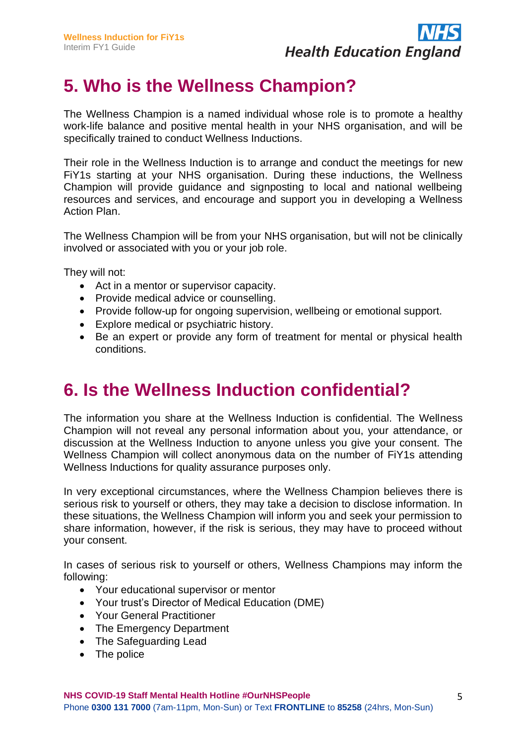

## **5. Who is the Wellness Champion?**

The Wellness Champion is a named individual whose role is to promote a healthy work-life balance and positive mental health in your NHS organisation, and will be specifically trained to conduct Wellness Inductions.

Their role in the Wellness Induction is to arrange and conduct the meetings for new FiY1s starting at your NHS organisation. During these inductions, the Wellness Champion will provide guidance and signposting to local and national wellbeing resources and services, and encourage and support you in developing a Wellness Action Plan.

The Wellness Champion will be from your NHS organisation, but will not be clinically involved or associated with you or your job role.

They will not:

- Act in a mentor or supervisor capacity.
- Provide medical advice or counselling.
- Provide follow-up for ongoing supervision, wellbeing or emotional support.
- Explore medical or psychiatric history.
- Be an expert or provide any form of treatment for mental or physical health conditions.

#### **6. Is the Wellness Induction confidential?**

The information you share at the Wellness Induction is confidential. The Wellness Champion will not reveal any personal information about you, your attendance, or discussion at the Wellness Induction to anyone unless you give your consent. The Wellness Champion will collect anonymous data on the number of FiY1s attending Wellness Inductions for quality assurance purposes only.

In very exceptional circumstances, where the Wellness Champion believes there is serious risk to yourself or others, they may take a decision to disclose information. In these situations, the Wellness Champion will inform you and seek your permission to share information, however, if the risk is serious, they may have to proceed without your consent.

In cases of serious risk to yourself or others, Wellness Champions may inform the following:

- Your educational supervisor or mentor
- Your trust's Director of Medical Education (DME)
- Your General Practitioner
- The Emergency Department
- The Safeguarding Lead
- The police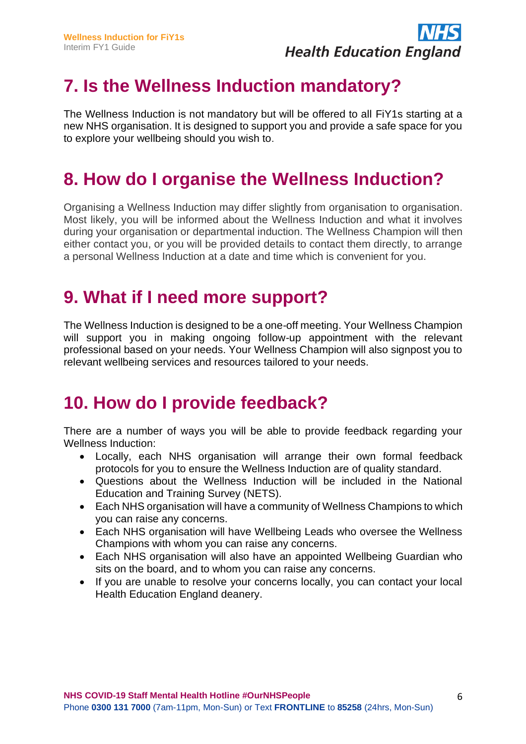

### **7. Is the Wellness Induction mandatory?**

The Wellness Induction is not mandatory but will be offered to all FiY1s starting at a new NHS organisation. It is designed to support you and provide a safe space for you to explore your wellbeing should you wish to.

#### **8. How do I organise the Wellness Induction?**

Organising a Wellness Induction may differ slightly from organisation to organisation. Most likely, you will be informed about the Wellness Induction and what it involves during your organisation or departmental induction. The Wellness Champion will then either contact you, or you will be provided details to contact them directly, to arrange a personal Wellness Induction at a date and time which is convenient for you.

#### **9. What if I need more support?**

The Wellness Induction is designed to be a one-off meeting. Your Wellness Champion will support you in making ongoing follow-up appointment with the relevant professional based on your needs. Your Wellness Champion will also signpost you to relevant wellbeing services and resources tailored to your needs.

#### **10. How do I provide feedback?**

There are a number of ways you will be able to provide feedback regarding your Wellness Induction:

- Locally, each NHS organisation will arrange their own formal feedback protocols for you to ensure the Wellness Induction are of quality standard.
- Questions about the Wellness Induction will be included in the National Education and Training Survey (NETS).
- Each NHS organisation will have a community of Wellness Champions to which you can raise any concerns.
- Each NHS organisation will have Wellbeing Leads who oversee the Wellness Champions with whom you can raise any concerns.
- Each NHS organisation will also have an appointed Wellbeing Guardian who sits on the board, and to whom you can raise any concerns.
- If you are unable to resolve your concerns locally, you can contact your local Health Education England deanery.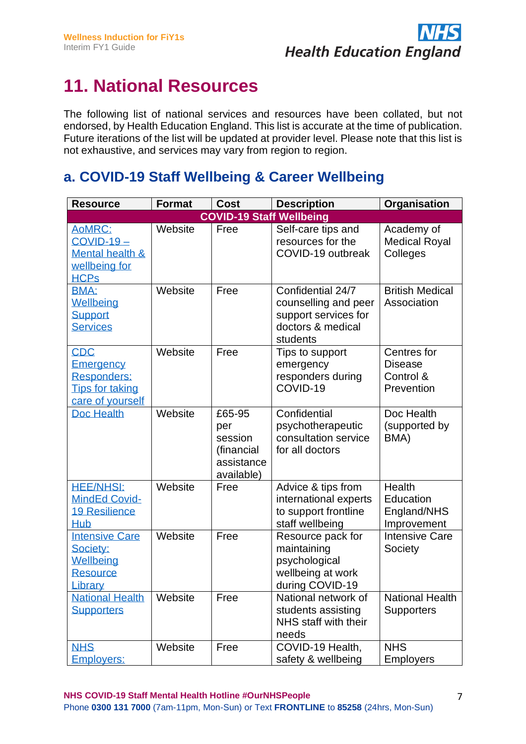

## **11. National Resources**

The following list of national services and resources have been collated, but not endorsed, by Health Education England. This list is accurate at the time of publication. Future iterations of the list will be updated at provider level. Please note that this list is not exhaustive, and services may vary from region to region.

#### **a. COVID-19 Staff Wellbeing & Career Wellbeing**

| <b>Resource</b>                                                                      | <b>Format</b> | <b>Cost</b>                                                        | <b>Description</b>                                                                                 | Organisation                                             |
|--------------------------------------------------------------------------------------|---------------|--------------------------------------------------------------------|----------------------------------------------------------------------------------------------------|----------------------------------------------------------|
|                                                                                      |               | <b>COVID-19 Staff Wellbeing</b>                                    |                                                                                                    |                                                          |
| AoMRC:<br>$COVID-19-$<br><b>Mental health &amp;</b><br>wellbeing for<br><b>HCPs</b>  | Website       | Free                                                               | Self-care tips and<br>resources for the<br>COVID-19 outbreak                                       | Academy of<br><b>Medical Royal</b><br>Colleges           |
| <b>BMA:</b><br>Wellbeing<br><b>Support</b><br><b>Services</b>                        | Website       | Free                                                               | Confidential 24/7<br>counselling and peer<br>support services for<br>doctors & medical<br>students | <b>British Medical</b><br>Association                    |
| <b>CDC</b><br>Emergency<br>Responders:<br><b>Tips for taking</b><br>care of yourself | Website       | Free                                                               | Tips to support<br>emergency<br>responders during<br>COVID-19                                      | Centres for<br><b>Disease</b><br>Control &<br>Prevention |
| <b>Doc Health</b>                                                                    | Website       | £65-95<br>per<br>session<br>(financial<br>assistance<br>available) | Confidential<br>psychotherapeutic<br>consultation service<br>for all doctors                       | Doc Health<br>(supported by<br>BMA)                      |
| <b>HEE/NHSI:</b><br><b>MindEd Covid-</b><br><b>19 Resilience</b><br><b>Hub</b>       | Website       | Free                                                               | Advice & tips from<br>international experts<br>to support frontline<br>staff wellbeing             | Health<br>Education<br>England/NHS<br>Improvement        |
| <b>Intensive Care</b><br>Society:<br>Wellbeing<br><b>Resource</b><br>Library         | Website       | Free                                                               | Resource pack for<br>maintaining<br>psychological<br>wellbeing at work<br>during COVID-19          | <b>Intensive Care</b><br>Society                         |
| <b>National Health</b><br><b>Supporters</b>                                          | Website       | Free                                                               | National network of<br>students assisting<br>NHS staff with their<br>needs                         | <b>National Health</b><br><b>Supporters</b>              |
| <b>NHS</b><br><b>Employers:</b>                                                      | Website       | Free                                                               | COVID-19 Health,<br>safety & wellbeing                                                             | <b>NHS</b><br><b>Employers</b>                           |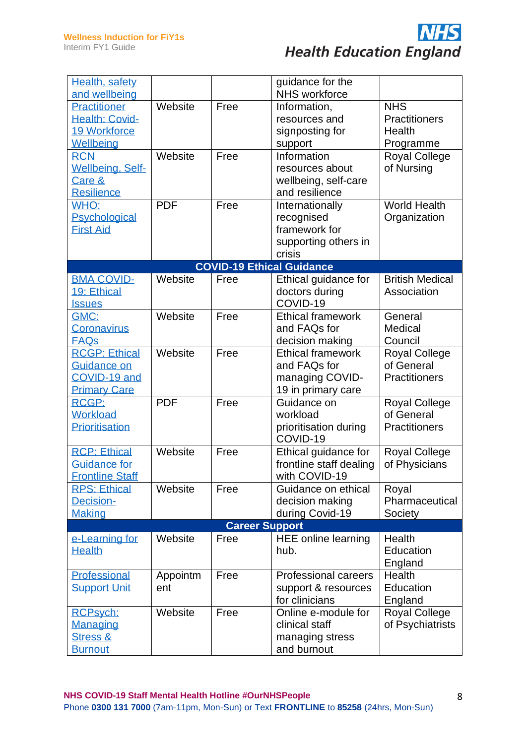

| Health, safety<br>and wellbeing |            |                       | guidance for the<br>NHS workforce |                        |
|---------------------------------|------------|-----------------------|-----------------------------------|------------------------|
| Practitioner                    | Website    | Free                  | Information,                      | <b>NHS</b>             |
| <b>Health: Covid-</b>           |            |                       | resources and                     | <b>Practitioners</b>   |
| <b>19 Workforce</b>             |            |                       | signposting for                   | Health                 |
|                                 |            |                       |                                   |                        |
| Wellbeing                       | Website    | Free                  | support<br>Information            | Programme              |
| <b>RCN</b>                      |            |                       |                                   | <b>Royal College</b>   |
| <b>Wellbeing, Self-</b>         |            |                       | resources about                   | of Nursing             |
| Care &                          |            |                       | wellbeing, self-care              |                        |
| <b>Resilience</b>               |            |                       | and resilience                    |                        |
| WHO:                            | <b>PDF</b> | Free                  | Internationally                   | <b>World Health</b>    |
| Psychological                   |            |                       | recognised                        | Organization           |
| <b>First Aid</b>                |            |                       | framework for                     |                        |
|                                 |            |                       | supporting others in              |                        |
|                                 |            |                       | crisis                            |                        |
|                                 |            |                       | <b>COVID-19 Ethical Guidance</b>  |                        |
| <b>BMA COVID-</b>               | Website    | Free                  | Ethical guidance for              | <b>British Medical</b> |
| 19: Ethical                     |            |                       | doctors during                    | Association            |
| <b>Issues</b>                   |            |                       | COVID-19                          |                        |
| GMC:                            | Website    | Free                  | <b>Ethical framework</b>          | General                |
| Coronavirus                     |            |                       | and FAQs for                      | Medical                |
| <b>FAQs</b>                     |            |                       | decision making                   | Council                |
| <b>RCGP: Ethical</b>            | Website    | Free                  | <b>Ethical framework</b>          | <b>Royal College</b>   |
| Guidance on                     |            |                       | and FAQs for                      | of General             |
| COVID-19 and                    |            |                       | managing COVID-                   | <b>Practitioners</b>   |
| <b>Primary Care</b>             |            |                       | 19 in primary care                |                        |
| <b>RCGP:</b>                    | <b>PDF</b> | Free                  | Guidance on                       | <b>Royal College</b>   |
| <b>Workload</b>                 |            |                       | workload                          | of General             |
| Prioritisation                  |            |                       | prioritisation during             | <b>Practitioners</b>   |
|                                 |            |                       | COVID-19                          |                        |
| <b>RCP: Ethical</b>             | Website    | Free                  | Ethical guidance for              | <b>Royal College</b>   |
| <b>Guidance for</b>             |            |                       | frontline staff dealing           | of Physicians          |
| <b>Frontline Staff</b>          |            |                       | with COVID-19                     |                        |
| <b>RPS: Ethical</b>             | Website    | Free                  | Guidance on ethical               | Royal                  |
| Decision-                       |            |                       | decision making                   | Pharmaceutical         |
| <b>Making</b>                   |            |                       | during Covid-19                   | Society                |
|                                 |            | <b>Career Support</b> |                                   |                        |
| e-Learning for                  | Website    | Free                  | <b>HEE online learning</b>        | Health                 |
| <b>Health</b>                   |            |                       | hub.                              | Education              |
|                                 |            |                       |                                   | England                |
| Professional                    | Appointm   | Free                  | <b>Professional careers</b>       | Health                 |
| <b>Support Unit</b>             | ent        |                       | support & resources               | Education              |
|                                 |            |                       | for clinicians                    | England                |
| <b>RCPsych:</b>                 | Website    | Free                  | Online e-module for               | <b>Royal College</b>   |
| <b>Managing</b>                 |            |                       | clinical staff                    | of Psychiatrists       |
| <b>Stress &amp;</b>             |            |                       | managing stress                   |                        |
| <b>Burnout</b>                  |            |                       | and burnout                       |                        |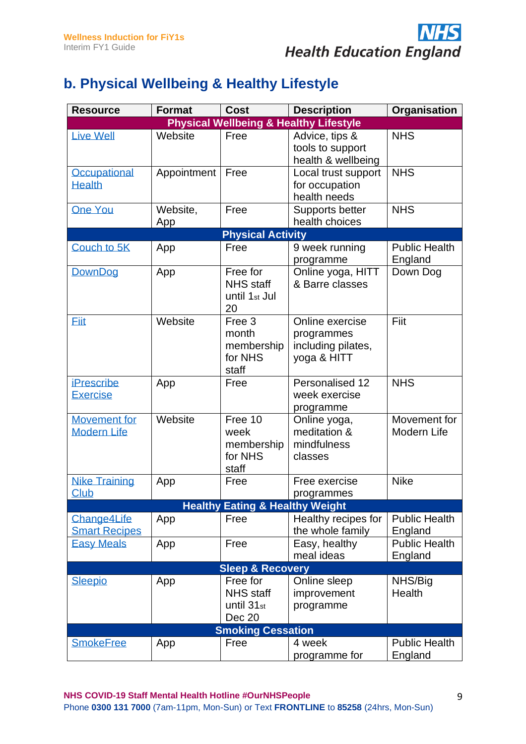

#### **b. Physical Wellbeing & Healthy Lifestyle**

| <b>Resource</b>                           | <b>Format</b>   | <b>Cost</b>                                                      | <b>Description</b>                                                 | Organisation                    |
|-------------------------------------------|-----------------|------------------------------------------------------------------|--------------------------------------------------------------------|---------------------------------|
|                                           |                 |                                                                  | <b>Physical Wellbeing &amp; Healthy Lifestyle</b>                  |                                 |
| <b>Live Well</b>                          | Website         | Free                                                             | Advice, tips &<br>tools to support<br>health & wellbeing           | <b>NHS</b>                      |
| Occupational<br><b>Health</b>             | Appointment     | Free                                                             | Local trust support<br>for occupation<br>health needs              | <b>NHS</b>                      |
| <b>One You</b>                            | Website,<br>App | Free                                                             | Supports better<br>health choices                                  | <b>NHS</b>                      |
|                                           |                 | <b>Physical Activity</b>                                         |                                                                    |                                 |
| Couch to 5K                               | App             | Free                                                             | 9 week running<br>programme                                        | <b>Public Health</b><br>England |
| DownDog                                   | App             | Free for<br><b>NHS staff</b><br>until 1 <sub>st</sub> Jul<br>20  | Online yoga, HITT<br>& Barre classes                               | Down Dog                        |
| <b>Eiit</b>                               | Website         | Free 3<br>month<br>membership<br>for NHS<br>staff                | Online exercise<br>programmes<br>including pilates,<br>yoga & HITT | Fiit                            |
| <b>iPrescribe</b><br><b>Exercise</b>      | App             | Free                                                             | Personalised 12<br>week exercise<br>programme                      | <b>NHS</b>                      |
| <b>Movement for</b><br><b>Modern Life</b> | Website         | Free 10<br>week<br>membership<br>for NHS<br>staff                | Online yoga,<br>meditation &<br>mindfulness<br>classes             | Movement for<br>Modern Life     |
| <b>Nike Training</b><br>Club              | App             | Free                                                             | Free exercise<br>programmes                                        | <b>Nike</b>                     |
|                                           |                 | <b>Healthy Eating &amp; Healthy Weight</b>                       |                                                                    |                                 |
| Change4Life<br><b>Smart Recipes</b>       | App             | Free                                                             | Healthy recipes for<br>the whole family                            | <b>Public Health</b><br>England |
| <b>Easy Meals</b>                         | App             | Free                                                             | Easy, healthy<br>meal ideas                                        | <b>Public Health</b><br>England |
|                                           |                 | <b>Sleep &amp; Recovery</b>                                      |                                                                    |                                 |
| <b>Sleepio</b>                            | App             | Free for<br><b>NHS</b> staff<br>until 31 <sub>st</sub><br>Dec 20 | Online sleep<br>improvement<br>programme                           | NHS/Big<br>Health               |
|                                           |                 | <b>Smoking Cessation</b>                                         |                                                                    |                                 |
| <b>SmokeFree</b>                          | App             | Free                                                             | 4 week<br>programme for                                            | <b>Public Health</b><br>England |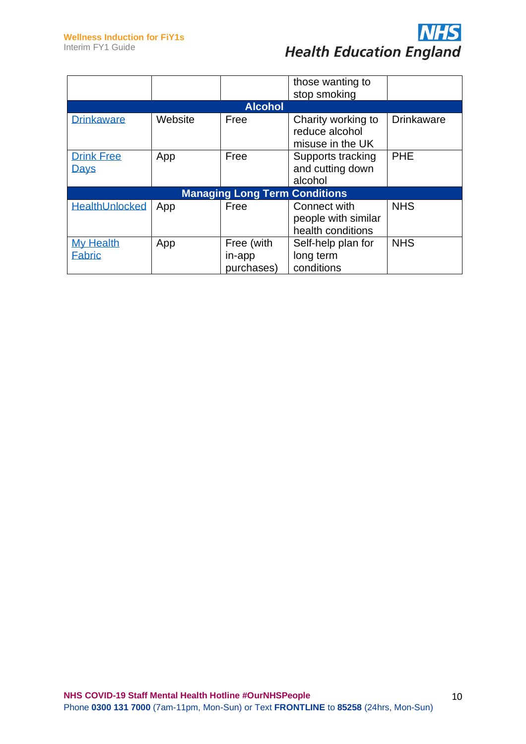

|                                   |                                      |                                    | those wanting to<br>stop smoking                         |                   |  |  |  |
|-----------------------------------|--------------------------------------|------------------------------------|----------------------------------------------------------|-------------------|--|--|--|
|                                   | <b>Alcohol</b>                       |                                    |                                                          |                   |  |  |  |
| <b>Drinkaware</b>                 | Website                              | Free                               | Charity working to<br>reduce alcohol<br>misuse in the UK | <b>Drinkaware</b> |  |  |  |
| <b>Drink Free</b><br>Days         | App                                  | Free                               | Supports tracking<br>and cutting down<br>alcohol         | <b>PHE</b>        |  |  |  |
|                                   | <b>Managing Long Term Conditions</b> |                                    |                                                          |                   |  |  |  |
| <b>HealthUnlocked</b>             | App                                  | Free                               | Connect with<br>people with similar<br>health conditions | <b>NHS</b>        |  |  |  |
| <b>My Health</b><br><b>Fabric</b> | App                                  | Free (with<br>in-app<br>purchases) | Self-help plan for<br>long term<br>conditions            | <b>NHS</b>        |  |  |  |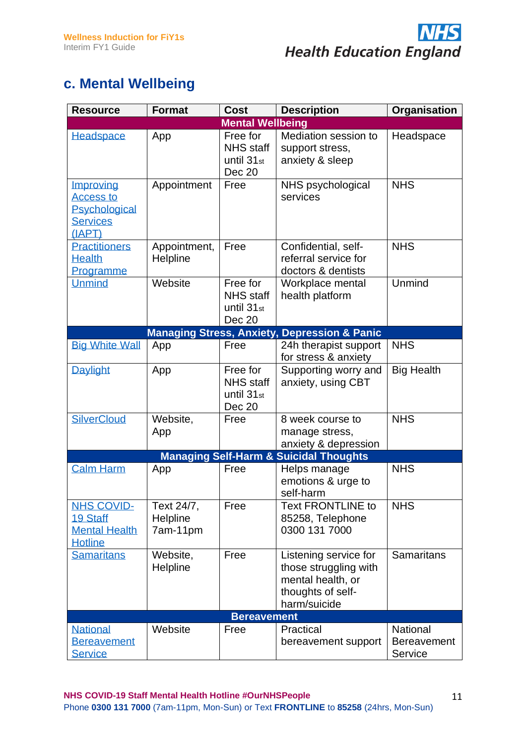

#### **c. Mental Wellbeing**

| <b>Resource</b>                                                             | <b>Format</b>                      | <b>Cost</b>                                                      | <b>Description</b>                                                                                       | Organisation                              |
|-----------------------------------------------------------------------------|------------------------------------|------------------------------------------------------------------|----------------------------------------------------------------------------------------------------------|-------------------------------------------|
|                                                                             |                                    | <b>Mental Wellbeing</b>                                          |                                                                                                          |                                           |
| Headspace                                                                   | App                                | Free for<br><b>NHS</b> staff<br>until 31 <sub>st</sub><br>Dec 20 | Mediation session to<br>support stress,<br>anxiety & sleep                                               | Headspace                                 |
| Improving<br><b>Access to</b><br>Psychological<br><b>Services</b><br>(IAPT) | Appointment                        | Free                                                             | NHS psychological<br>services                                                                            | <b>NHS</b>                                |
| <b>Practitioners</b><br><b>Health</b><br>Programme                          | Appointment,<br>Helpline           | Free                                                             | Confidential, self-<br>referral service for<br>doctors & dentists                                        | <b>NHS</b>                                |
| <b>Unmind</b>                                                               | Website                            | Free for<br><b>NHS</b> staff<br>until 31 <sub>st</sub><br>Dec 20 | Workplace mental<br>health platform                                                                      | Unmind                                    |
|                                                                             |                                    |                                                                  | <b>Managing Stress, Anxiety, Depression &amp; Panic</b>                                                  |                                           |
| <b>Big White Wall</b>                                                       | App                                | Free                                                             | 24h therapist support<br>for stress & anxiety                                                            | <b>NHS</b>                                |
| <b>Daylight</b>                                                             | App                                | Free for<br><b>NHS</b> staff<br>until 31 <sub>st</sub><br>Dec 20 | Supporting worry and<br>anxiety, using CBT                                                               | <b>Big Health</b>                         |
| <b>SilverCloud</b>                                                          | Website,<br>App                    | Free                                                             | 8 week course to<br>manage stress,<br>anxiety & depression                                               | <b>NHS</b>                                |
|                                                                             |                                    |                                                                  | <b>Managing Self-Harm &amp; Suicidal Thoughts</b>                                                        |                                           |
| <b>Calm Harm</b>                                                            | App                                | Free                                                             | Helps manage<br>emotions & urge to<br>self-harm                                                          | <b>NHS</b>                                |
| <b>NHS COVID-</b><br>19 Staff<br><b>Mental Health</b><br><b>Hotline</b>     | Text 24/7,<br>Helpline<br>7am-11pm | Free                                                             | <b>Text FRONTLINE to</b><br>85258, Telephone<br>0300 131 7000                                            | <b>NHS</b>                                |
| <b>Samaritans</b>                                                           | Website,<br>Helpline               | Free                                                             | Listening service for<br>those struggling with<br>mental health, or<br>thoughts of self-<br>harm/suicide | <b>Samaritans</b>                         |
|                                                                             |                                    | <b>Bereavement</b>                                               |                                                                                                          |                                           |
| <b>National</b><br><b>Bereavement</b><br><b>Service</b>                     | Website                            | Free                                                             | Practical<br>bereavement support                                                                         | National<br><b>Bereavement</b><br>Service |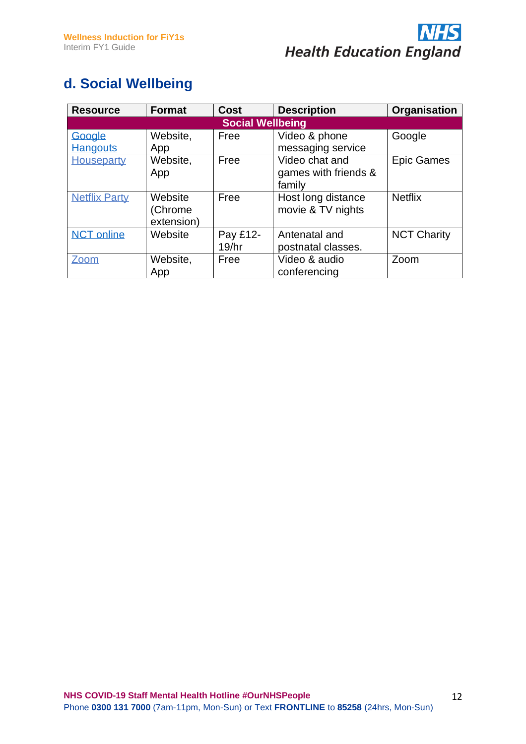

#### **d. Social Wellbeing**

| <b>Resource</b>         | <b>Format</b> | <b>Cost</b> | <b>Description</b>   | Organisation       |  |  |  |
|-------------------------|---------------|-------------|----------------------|--------------------|--|--|--|
| <b>Social Wellbeing</b> |               |             |                      |                    |  |  |  |
| Google                  | Website,      | Free        | Video & phone        | Google             |  |  |  |
| <b>Hangouts</b>         | App           |             | messaging service    |                    |  |  |  |
| Houseparty              | Website,      | Free        | Video chat and       | <b>Epic Games</b>  |  |  |  |
|                         | App           |             | games with friends & |                    |  |  |  |
|                         |               |             | family               |                    |  |  |  |
| <b>Netflix Party</b>    | Website       | Free        | Host long distance   | <b>Netflix</b>     |  |  |  |
|                         | (Chrome       |             | movie & TV nights    |                    |  |  |  |
|                         | extension)    |             |                      |                    |  |  |  |
| <b>NCT online</b>       | Website       | Pay £12-    | Antenatal and        | <b>NCT Charity</b> |  |  |  |
|                         |               | 19/hr       | postnatal classes.   |                    |  |  |  |
| Zoom                    | Website,      | Free        | Video & audio        | Zoom               |  |  |  |
|                         | App           |             | conferencing         |                    |  |  |  |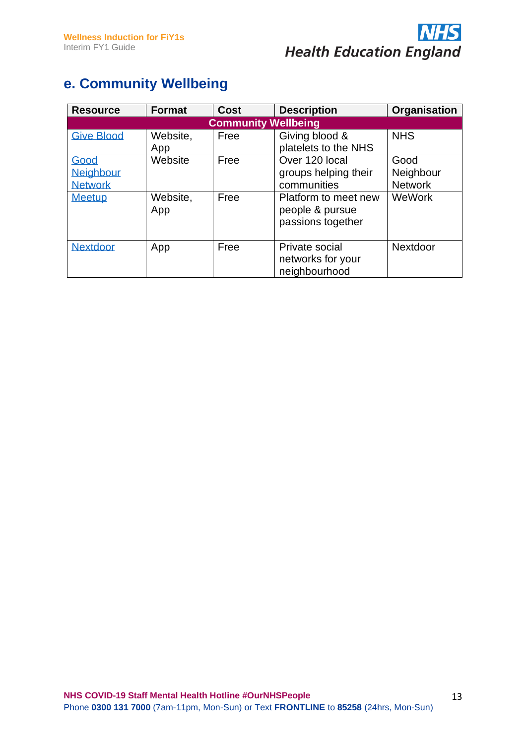

#### **e. Community Wellbeing**

| <b>Resource</b>                                             | <b>Format</b>              | <b>Cost</b>  | <b>Description</b>                                                                                                    | Organisation                                  |  |  |  |  |
|-------------------------------------------------------------|----------------------------|--------------|-----------------------------------------------------------------------------------------------------------------------|-----------------------------------------------|--|--|--|--|
| <b>Community Wellbeing</b>                                  |                            |              |                                                                                                                       |                                               |  |  |  |  |
| <b>Give Blood</b>                                           | Website,<br>App            | Free         | Giving blood &<br>platelets to the NHS                                                                                | <b>NHS</b>                                    |  |  |  |  |
| Good<br><b>Neighbour</b><br><b>Network</b><br><b>Meetup</b> | Website<br>Website,<br>App | Free<br>Free | Over 120 local<br>groups helping their<br>communities<br>Platform to meet new<br>people & pursue<br>passions together | Good<br>Neighbour<br><b>Network</b><br>WeWork |  |  |  |  |
| <b>Nextdoor</b>                                             | App                        | Free         | Private social<br>networks for your<br>neighbourhood                                                                  | Nextdoor                                      |  |  |  |  |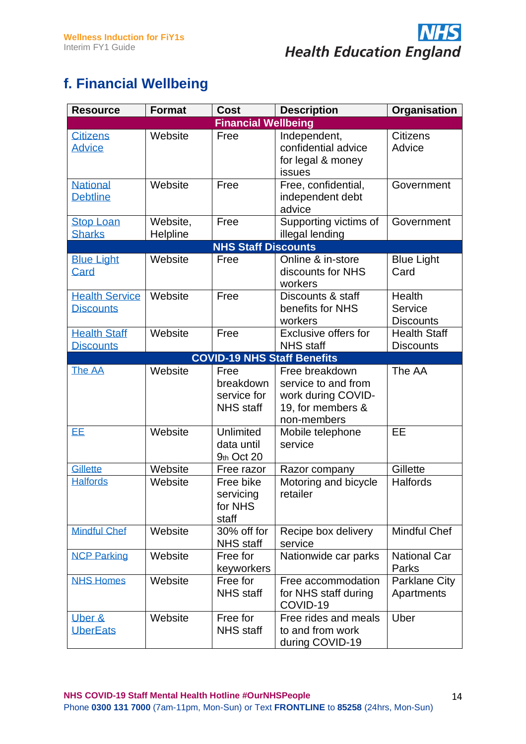

#### **f. Financial Wellbeing**

| <b>Resource</b>                           | <b>Format</b>        | Cost                                                 | <b>Description</b>                                                                              | Organisation                            |
|-------------------------------------------|----------------------|------------------------------------------------------|-------------------------------------------------------------------------------------------------|-----------------------------------------|
|                                           |                      | <b>Financial Wellbeing</b>                           |                                                                                                 |                                         |
| <b>Citizens</b><br><b>Advice</b>          | Website              | Free                                                 | Independent,<br>confidential advice<br>for legal & money<br>issues                              | <b>Citizens</b><br>Advice               |
| <b>National</b><br><b>Debtline</b>        | Website              | Free                                                 | Free, confidential,<br>independent debt<br>advice                                               | Government                              |
| <b>Stop Loan</b><br><b>Sharks</b>         | Website,<br>Helpline | Free                                                 | Supporting victims of<br>illegal lending                                                        | Government                              |
|                                           |                      | <b>NHS Staff Discounts</b>                           |                                                                                                 |                                         |
| <b>Blue Light</b><br>Card                 | Website              | Free                                                 | Online & in-store<br>discounts for NHS<br>workers                                               | <b>Blue Light</b><br>Card               |
| <b>Health Service</b><br><b>Discounts</b> | Website              | Free                                                 | Discounts & staff<br>benefits for NHS<br>workers                                                | Health<br>Service<br><b>Discounts</b>   |
| <b>Health Staff</b><br><b>Discounts</b>   | Website              | Free                                                 | <b>Exclusive offers for</b><br><b>NHS</b> staff                                                 | <b>Health Staff</b><br><b>Discounts</b> |
|                                           |                      |                                                      | <b>COVID-19 NHS Staff Benefits</b>                                                              |                                         |
| The AA                                    | Website              | Free<br>breakdown<br>service for<br><b>NHS</b> staff | Free breakdown<br>service to and from<br>work during COVID-<br>19, for members &<br>non-members | The AA                                  |
| EE.                                       | Website              | Unlimited<br>data until<br>9th Oct 20                | Mobile telephone<br>service                                                                     | EE                                      |
| <b>Gillette</b>                           | Website              | Free razor                                           | Razor company                                                                                   | Gillette                                |
| <b>Halfords</b>                           | Website              | Free bike<br>servicing<br>for NHS<br>staff           | Motoring and bicycle<br>retailer                                                                | Halfords                                |
| <b>Mindful Chef</b>                       | Website              | 30% off for<br><b>NHS</b> staff                      | Recipe box delivery<br>service                                                                  | <b>Mindful Chef</b>                     |
| <b>NCP Parking</b>                        | Website              | Free for<br>keyworkers                               | Nationwide car parks                                                                            | <b>National Car</b><br>Parks            |
| <b>NHS Homes</b>                          | Website              | Free for<br><b>NHS</b> staff                         | Free accommodation<br>for NHS staff during<br>COVID-19                                          | <b>Parklane City</b><br>Apartments      |
| Uber &<br><b>UberEats</b>                 | Website              | Free for<br><b>NHS</b> staff                         | Free rides and meals<br>to and from work<br>during COVID-19                                     | Uber                                    |